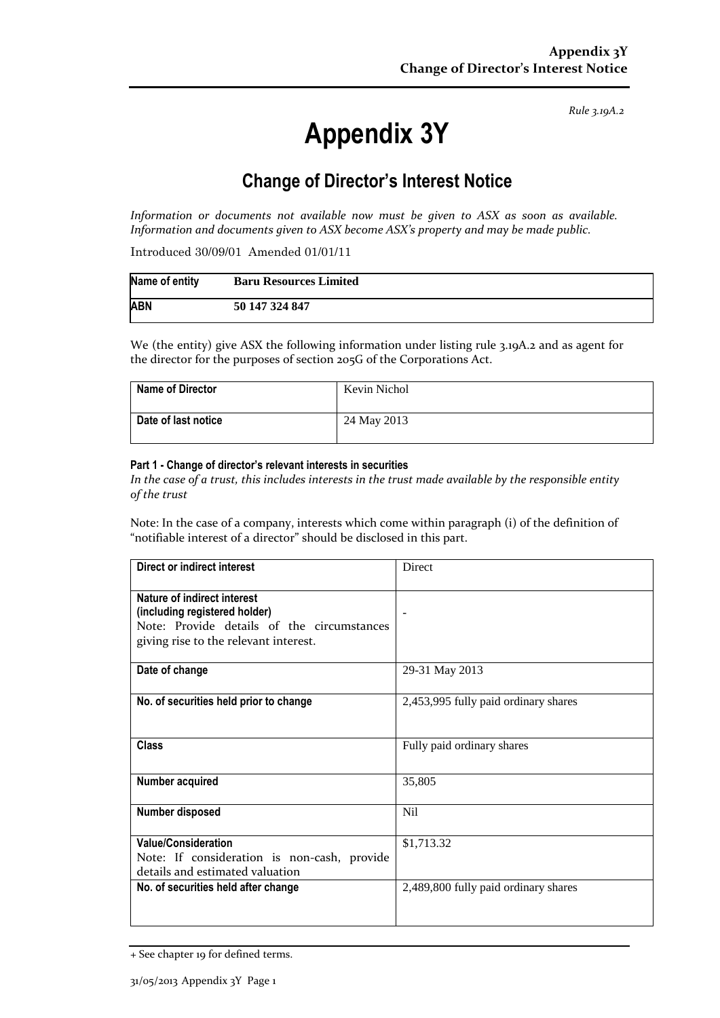*Rule 3.19A.2*

# **Appendix 3Y**

# **Change of Director's Interest Notice**

*Information or documents not available now must be given to ASX as soon as available. Information and documents given to ASX become ASX's property and may be made public.*

Introduced 30/09/01 Amended 01/01/11

| Name of entity | <b>Baru Resources Limited</b> |
|----------------|-------------------------------|
| <b>ABN</b>     | 50 147 324 847                |

We (the entity) give ASX the following information under listing rule 3.19A.2 and as agent for the director for the purposes of section 205G of the Corporations Act.

| <b>Name of Director</b> | Kevin Nichol |
|-------------------------|--------------|
| Date of last notice     | 24 May 2013  |

#### **Part 1 - Change of director's relevant interests in securities**

*In the case of a trust, this includes interests in the trust made available by the responsible entity of the trust*

Note: In the case of a company, interests which come within paragraph (i) of the definition of "notifiable interest of a director" should be disclosed in this part.

| Direct or indirect interest                                                                                                                         | Direct                               |  |
|-----------------------------------------------------------------------------------------------------------------------------------------------------|--------------------------------------|--|
| Nature of indirect interest<br>(including registered holder)<br>Note: Provide details of the circumstances<br>giving rise to the relevant interest. | $\overline{\phantom{a}}$             |  |
| Date of change                                                                                                                                      | 29-31 May 2013                       |  |
| No. of securities held prior to change                                                                                                              | 2,453,995 fully paid ordinary shares |  |
| <b>Class</b>                                                                                                                                        | Fully paid ordinary shares           |  |
| Number acquired                                                                                                                                     | 35,805                               |  |
| Number disposed                                                                                                                                     | Nil                                  |  |
| <b>Value/Consideration</b><br>Note: If consideration is non-cash, provide<br>details and estimated valuation                                        | \$1,713.32                           |  |
| No. of securities held after change                                                                                                                 | 2,489,800 fully paid ordinary shares |  |

<sup>+</sup> See chapter 19 for defined terms.